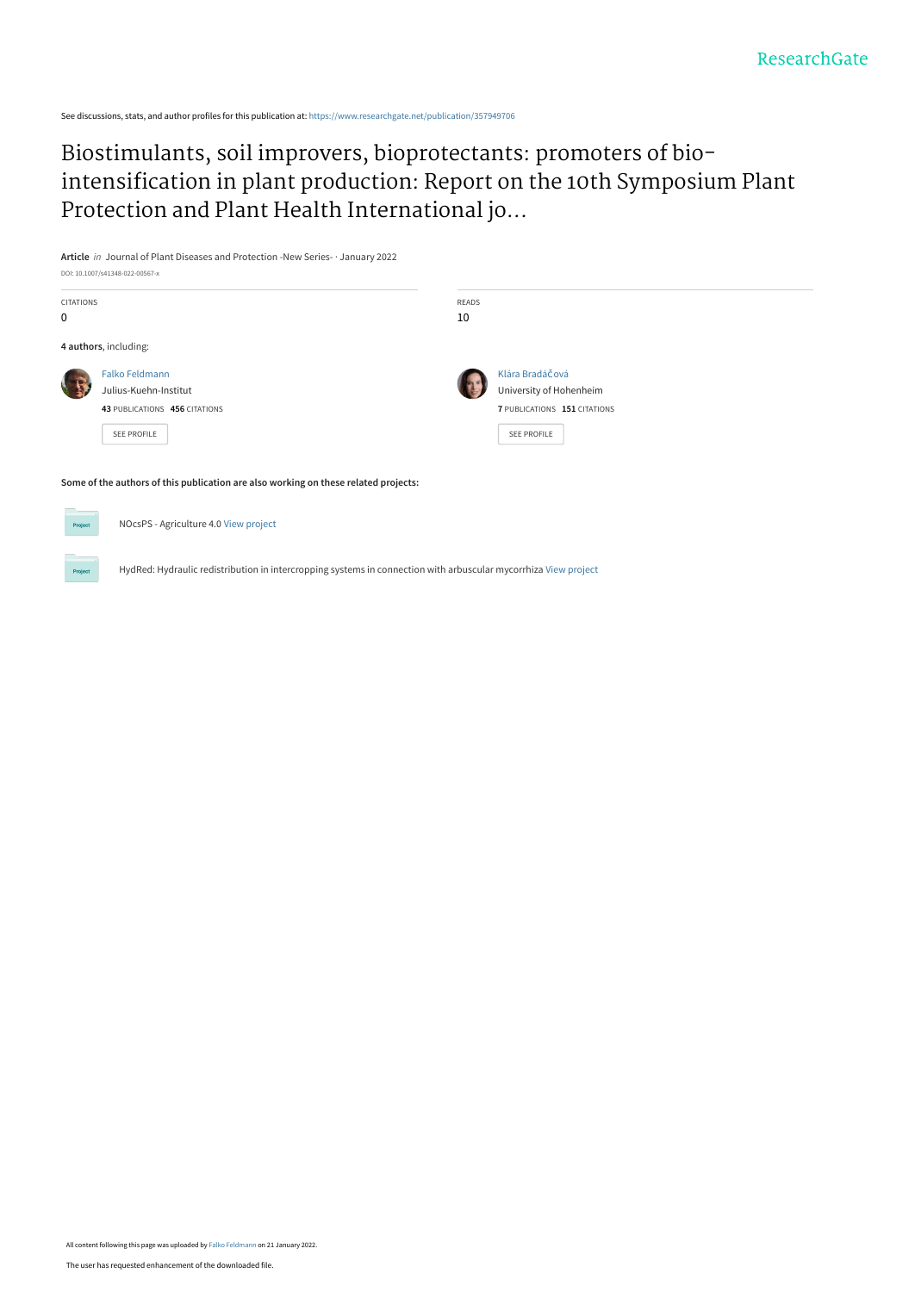See discussions, stats, and author profiles for this publication at: [https://www.researchgate.net/publication/357949706](https://www.researchgate.net/publication/357949706_Biostimulants_soil_improvers_bioprotectants_promoters_of_bio-intensification_in_plant_production_Report_on_the_10th_Symposium_Plant_Protection_and_Plant_Health_International_jointly_organized_by_Deuts?enrichId=rgreq-2f063e3aa90eaa9a0673255cf361bde7-XXX&enrichSource=Y292ZXJQYWdlOzM1Nzk0OTcwNjtBUzoxMTE0NzM0MjIwODM2ODY1QDE2NDI3ODQ3NTczMzM%3D&el=1_x_2&_esc=publicationCoverPdf)

# Biostimulants, soil improvers, bioprotectants: promoters of bio[intensification in plant production: Report on the 10th Symposium Plant](https://www.researchgate.net/publication/357949706_Biostimulants_soil_improvers_bioprotectants_promoters_of_bio-intensification_in_plant_production_Report_on_the_10th_Symposium_Plant_Protection_and_Plant_Health_International_jointly_organized_by_Deuts?enrichId=rgreq-2f063e3aa90eaa9a0673255cf361bde7-XXX&enrichSource=Y292ZXJQYWdlOzM1Nzk0OTcwNjtBUzoxMTE0NzM0MjIwODM2ODY1QDE2NDI3ODQ3NTczMzM%3D&el=1_x_3&_esc=publicationCoverPdf) Protection and Plant Health International jo...

**Article** in Journal of Plant Diseases and Protection -New Series- · January 2022 DOI: 10.1007/s41348-022-00567-x



NOcsPS - Agriculture 4.0 [View project](https://www.researchgate.net/project/NOcsPS-Agriculture-40?enrichId=rgreq-2f063e3aa90eaa9a0673255cf361bde7-XXX&enrichSource=Y292ZXJQYWdlOzM1Nzk0OTcwNjtBUzoxMTE0NzM0MjIwODM2ODY1QDE2NDI3ODQ3NTczMzM%3D&el=1_x_9&_esc=publicationCoverPdf)

HydRed: Hydraulic redistribution in intercropping systems in connection with arbuscular mycorrhiza [View project](https://www.researchgate.net/project/HydRed-Hydraulic-redistribution-in-intercropping-systems-in-connection-with-arbuscular-mycorrhiza?enrichId=rgreq-2f063e3aa90eaa9a0673255cf361bde7-XXX&enrichSource=Y292ZXJQYWdlOzM1Nzk0OTcwNjtBUzoxMTE0NzM0MjIwODM2ODY1QDE2NDI3ODQ3NTczMzM%3D&el=1_x_9&_esc=publicationCoverPdf)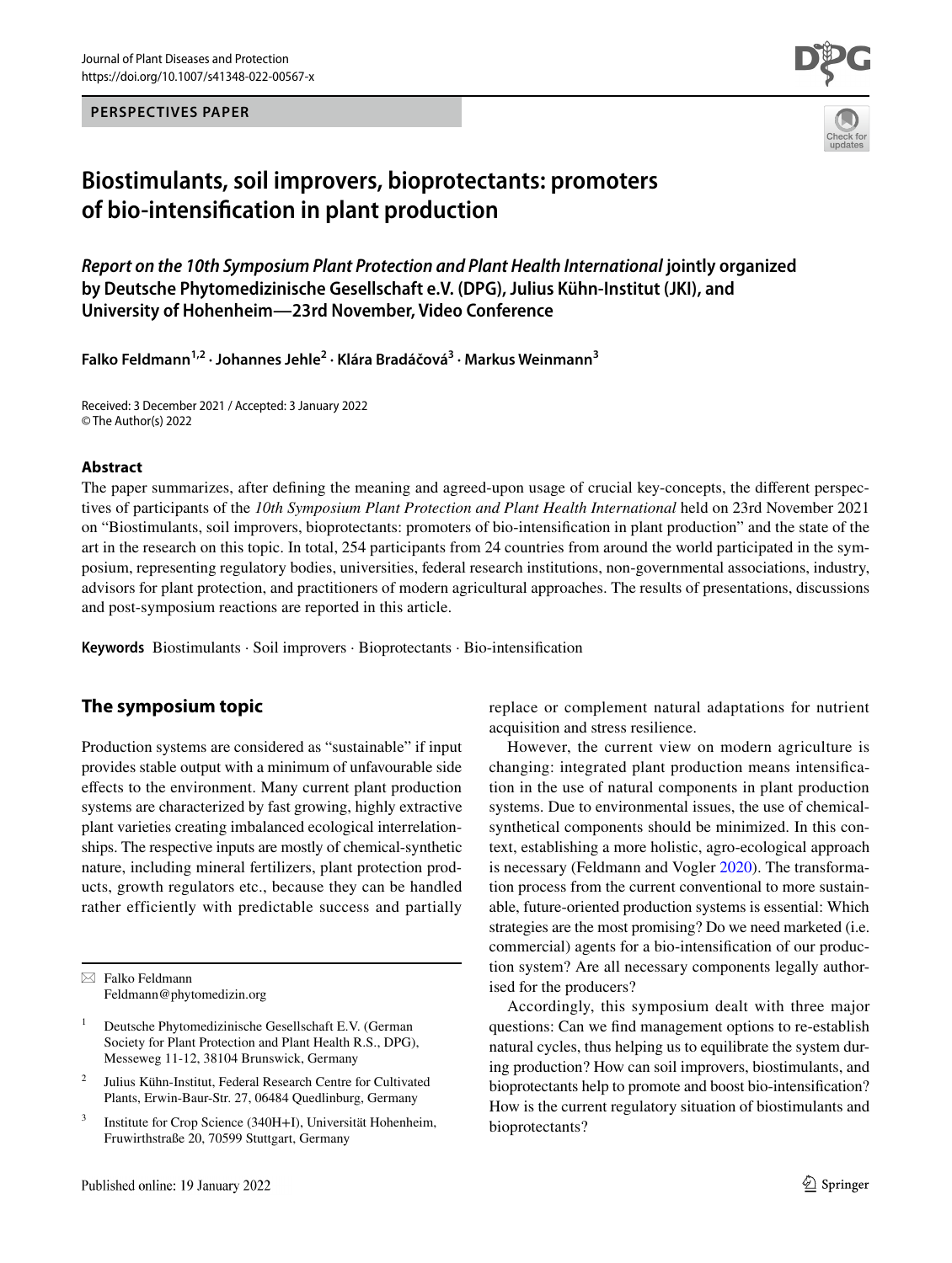**PERSPECTIVES PAPER**



# **Biostimulants, soil improvers, bioprotectants: promoters of bio‑intensifcation in plant production**

*Report on the 10th Symposium Plant Protection and Plant Health International* **jointly organized by Deutsche Phytomedizinische Gesellschaft e.V. (DPG), Julius Kühn-Institut (JKI), and University of Hohenheim—23rd November, Video Conference**

**Falko Feldmann1,2 · Johannes Jehle2 · Klára Bradáčová3 · Markus Weinmann3**

Received: 3 December 2021 / Accepted: 3 January 2022 © The Author(s) 2022

#### **Abstract**

The paper summarizes, after defning the meaning and agreed-upon usage of crucial key-concepts, the diferent perspectives of participants of the *10th Symposium Plant Protection and Plant Health International* held on 23rd November 2021 on "Biostimulants, soil improvers, bioprotectants: promoters of bio-intensifcation in plant production" and the state of the art in the research on this topic. In total, 254 participants from 24 countries from around the world participated in the symposium, representing regulatory bodies, universities, federal research institutions, non-governmental associations, industry, advisors for plant protection, and practitioners of modern agricultural approaches. The results of presentations, discussions and post-symposium reactions are reported in this article.

**Keywords** Biostimulants · Soil improvers · Bioprotectants · Bio-intensifcation

## **The symposium topic**

Production systems are considered as "sustainable" if input provides stable output with a minimum of unfavourable side efects to the environment. Many current plant production systems are characterized by fast growing, highly extractive plant varieties creating imbalanced ecological interrelationships. The respective inputs are mostly of chemical-synthetic nature, including mineral fertilizers, plant protection products, growth regulators etc., because they can be handled rather efficiently with predictable success and partially

replace or complement natural adaptations for nutrient acquisition and stress resilience.

However, the current view on modern agriculture is changing: integrated plant production means intensifcation in the use of natural components in plant production systems. Due to environmental issues, the use of chemicalsynthetical components should be minimized. In this context, establishing a more holistic, agro-ecological approach is necessary (Feldmann and Vogler [2020\)](#page-6-0). The transformation process from the current conventional to more sustainable, future-oriented production systems is essential: Which strategies are the most promising? Do we need marketed (i.e. commercial) agents for a bio-intensifcation of our production system? Are all necessary components legally authorised for the producers?

Accordingly, this symposium dealt with three major questions: Can we fnd management options to re-establish natural cycles, thus helping us to equilibrate the system during production? How can soil improvers, biostimulants, and bioprotectants help to promote and boost bio-intensifcation? How is the current regulatory situation of biostimulants and bioprotectants?

 $\boxtimes$  Falko Feldmann Feldmann@phytomedizin.org

<sup>1</sup> Deutsche Phytomedizinische Gesellschaft E.V. (German Society for Plant Protection and Plant Health R.S., DPG), Messeweg 11-12, 38104 Brunswick, Germany

<sup>2</sup> Julius Kühn-Institut, Federal Research Centre for Cultivated Plants, Erwin-Baur-Str. 27, 06484 Quedlinburg, Germany

<sup>3</sup> Institute for Crop Science (340H+I), Universität Hohenheim, Fruwirthstraße 20, 70599 Stuttgart, Germany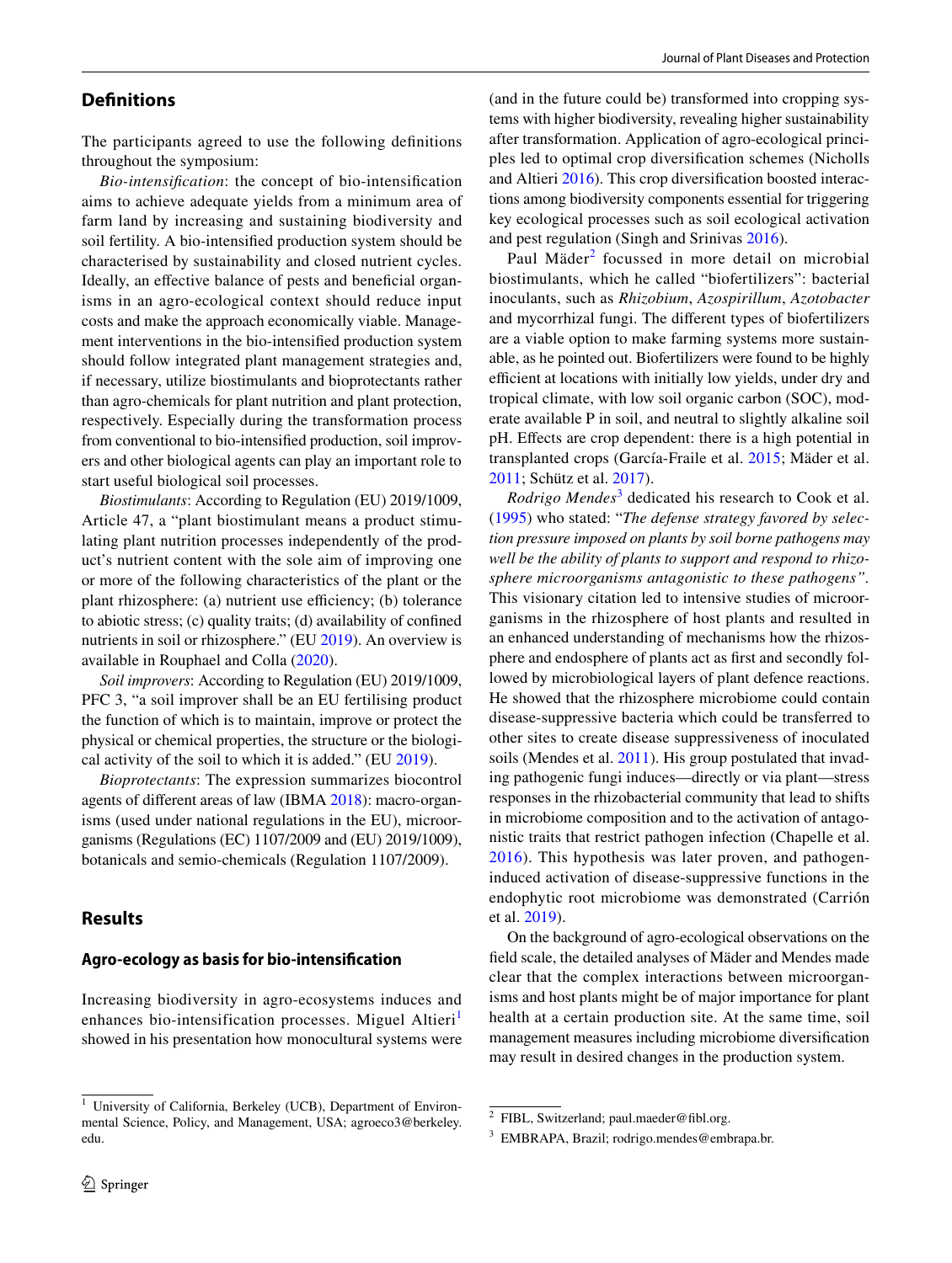### **Defnitions**

The participants agreed to use the following defnitions throughout the symposium:

*Bio-intensifcation*: the concept of bio-intensifcation aims to achieve adequate yields from a minimum area of farm land by increasing and sustaining biodiversity and soil fertility. A bio-intensifed production system should be characterised by sustainability and closed nutrient cycles. Ideally, an effective balance of pests and beneficial organisms in an agro-ecological context should reduce input costs and make the approach economically viable. Management interventions in the bio-intensifed production system should follow integrated plant management strategies and, if necessary, utilize biostimulants and bioprotectants rather than agro-chemicals for plant nutrition and plant protection, respectively. Especially during the transformation process from conventional to bio-intensifed production, soil improvers and other biological agents can play an important role to start useful biological soil processes.

*Biostimulants*: According to Regulation (EU) 2019/1009, Article 47, a "plant biostimulant means a product stimulating plant nutrition processes independently of the product's nutrient content with the sole aim of improving one or more of the following characteristics of the plant or the plant rhizosphere: (a) nutrient use efficiency; (b) tolerance to abiotic stress; (c) quality traits; (d) availability of confned nutrients in soil or rhizosphere." (EU [2019\)](#page-6-1). An overview is available in Rouphael and Colla [\(2020\)](#page-7-0).

*Soil improvers*: According to Regulation (EU) 2019/1009, PFC 3, "a soil improver shall be an EU fertilising product the function of which is to maintain, improve or protect the physical or chemical properties, the structure or the biological activity of the soil to which it is added." (EU [2019](#page-6-1)).

*Bioprotectants*: The expression summarizes biocontrol agents of diferent areas of law (IBMA [2018\)](#page-6-2): macro-organisms (used under national regulations in the EU), microorganisms (Regulations (EC) 1107/2009 and (EU) 2019/1009), botanicals and semio-chemicals (Regulation 1107/2009).

## **Results**

#### **Agro‑ecology as basis for bio‑intensifcation**

Increasing biodiversity in agro-ecosystems induces and enhances bio-intensification processes. Miguel Altieri<sup>[1](#page-2-0)</sup> showed in his presentation how monocultural systems were (and in the future could be) transformed into cropping systems with higher biodiversity, revealing higher sustainability after transformation. Application of agro-ecological principles led to optimal crop diversifcation schemes (Nicholls and Altieri [2016\)](#page-7-1). This crop diversifcation boosted interactions among biodiversity components essential for triggering key ecological processes such as soil ecological activation and pest regulation (Singh and Srinivas [2016](#page-7-2)).

Paul Mäder<sup>[2](#page-2-1)</sup> focussed in more detail on microbial biostimulants, which he called "biofertilizers": bacterial inoculants, such as *Rhizobium*, *Azospirillum*, *Azotobacter* and mycorrhizal fungi. The diferent types of biofertilizers are a viable option to make farming systems more sustainable, as he pointed out. Biofertilizers were found to be highly efficient at locations with initially low yields, under dry and tropical climate, with low soil organic carbon (SOC), moderate available P in soil, and neutral to slightly alkaline soil pH. Efects are crop dependent: there is a high potential in transplanted crops (García-Fraile et al. [2015;](#page-6-3) Mäder et al. [2011](#page-6-4); Schütz et al. [2017\)](#page-7-3).

*Rodrigo Mendes*[3](#page-2-2) dedicated his research to Cook et al. ([1995\)](#page-6-5) who stated: "*The defense strategy favored by selection pressure imposed on plants by soil borne pathogens may well be the ability of plants to support and respond to rhizosphere microorganisms antagonistic to these pathogens".* This visionary citation led to intensive studies of microorganisms in the rhizosphere of host plants and resulted in an enhanced understanding of mechanisms how the rhizosphere and endosphere of plants act as frst and secondly followed by microbiological layers of plant defence reactions. He showed that the rhizosphere microbiome could contain disease-suppressive bacteria which could be transferred to other sites to create disease suppressiveness of inoculated soils (Mendes et al. [2011\)](#page-7-4). His group postulated that invading pathogenic fungi induces—directly or via plant—stress responses in the rhizobacterial community that lead to shifts in microbiome composition and to the activation of antagonistic traits that restrict pathogen infection (Chapelle et al. [2016](#page-6-6)). This hypothesis was later proven, and pathogeninduced activation of disease-suppressive functions in the endophytic root microbiome was demonstrated (Carrión et al. [2019](#page-6-7)).

On the background of agro-ecological observations on the feld scale, the detailed analyses of Mäder and Mendes made clear that the complex interactions between microorganisms and host plants might be of major importance for plant health at a certain production site. At the same time, soil management measures including microbiome diversifcation may result in desired changes in the production system.

<span id="page-2-0"></span>University of California, Berkeley (UCB), Department of Environmental Science, Policy, and Management, USA; agroeco3@berkeley. edu.

<span id="page-2-1"></span> $2$  FIBL, Switzerland; paul.maeder@fibl.org.

<span id="page-2-2"></span><sup>3</sup> EMBRAPA, Brazil; rodrigo.mendes@embrapa.br.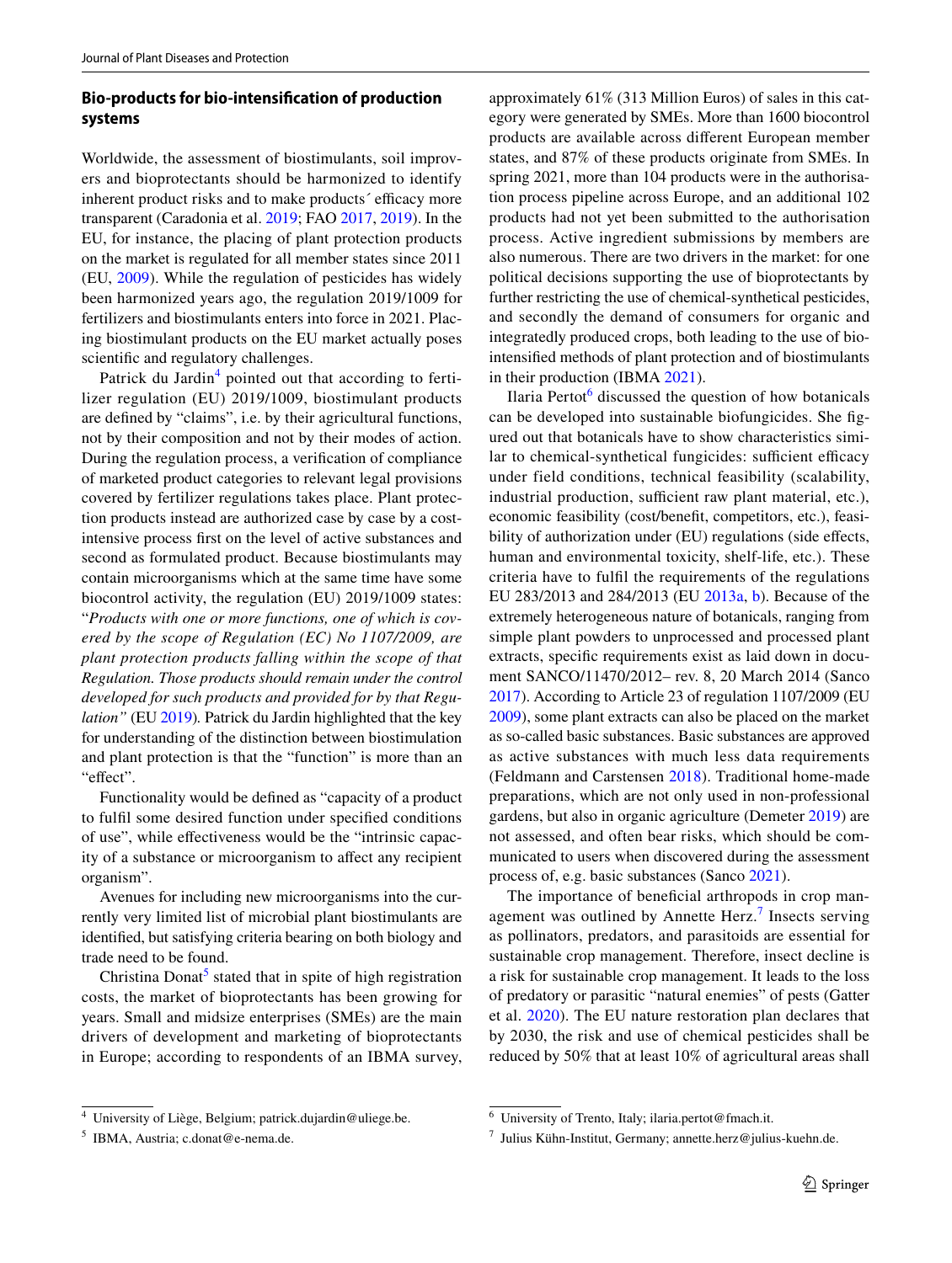## **Bio‑products for bio‑intensifcation of production systems**

Worldwide, the assessment of biostimulants, soil improvers and bioprotectants should be harmonized to identify inherent product risks and to make products' efficacy more transparent (Caradonia et al. [2019](#page-6-8); FAO [2017](#page-6-9), [2019](#page-6-10)). In the EU, for instance, the placing of plant protection products on the market is regulated for all member states since 2011 (EU, [2009\)](#page-6-11). While the regulation of pesticides has widely been harmonized years ago, the regulation 2019/1009 for fertilizers and biostimulants enters into force in 2021. Placing biostimulant products on the EU market actually poses scientifc and regulatory challenges.

Patrick du Jardin<sup>[4](#page-3-0)</sup> pointed out that according to fertilizer regulation (EU) 2019/1009, biostimulant products are defned by "claims", i.e. by their agricultural functions, not by their composition and not by their modes of action. During the regulation process, a verifcation of compliance of marketed product categories to relevant legal provisions covered by fertilizer regulations takes place. Plant protection products instead are authorized case by case by a costintensive process frst on the level of active substances and second as formulated product. Because biostimulants may contain microorganisms which at the same time have some biocontrol activity, the regulation (EU) 2019/1009 states: "*Products with one or more functions, one of which is covered by the scope of Regulation (EC) No 1107/2009, are plant protection products falling within the scope of that Regulation. Those products should remain under the control developed for such products and provided for by that Regulation"* (EU [2019](#page-6-1))*.* Patrick du Jardin highlighted that the key for understanding of the distinction between biostimulation and plant protection is that the "function" is more than an "effect".

Functionality would be defned as "capacity of a product to fulfl some desired function under specifed conditions of use", while efectiveness would be the "intrinsic capacity of a substance or microorganism to afect any recipient organism".

Avenues for including new microorganisms into the currently very limited list of microbial plant biostimulants are identifed, but satisfying criteria bearing on both biology and trade need to be found.

Christina Donat<sup>[5](#page-3-1)</sup> stated that in spite of high registration costs, the market of bioprotectants has been growing for years. Small and midsize enterprises (SMEs) are the main drivers of development and marketing of bioprotectants in Europe; according to respondents of an IBMA survey,

approximately 61% (313 Million Euros) of sales in this category were generated by SMEs. More than 1600 biocontrol products are available across diferent European member states, and 87% of these products originate from SMEs. In spring 2021, more than 104 products were in the authorisation process pipeline across Europe, and an additional 102 products had not yet been submitted to the authorisation process. Active ingredient submissions by members are also numerous. There are two drivers in the market: for one political decisions supporting the use of bioprotectants by further restricting the use of chemical-synthetical pesticides, and secondly the demand of consumers for organic and integratedly produced crops, both leading to the use of biointensifed methods of plant protection and of biostimulants in their production (IBMA [2021](#page-6-12)).

Ilaria Pertot $6$  discussed the question of how botanicals can be developed into sustainable biofungicides. She fgured out that botanicals have to show characteristics similar to chemical-synthetical fungicides: sufficient efficacy under field conditions, technical feasibility (scalability, industrial production, sufficient raw plant material, etc.), economic feasibility (cost/beneft, competitors, etc.), feasibility of authorization under (EU) regulations (side effects, human and environmental toxicity, shelf-life, etc.). These criteria have to fulfl the requirements of the regulations EU 283/2013 and 284/2013 (EU [2013a](#page-6-13), [b\)](#page-6-14). Because of the extremely heterogeneous nature of botanicals, ranging from simple plant powders to unprocessed and processed plant extracts, specifc requirements exist as laid down in document SANCO/11470/2012– rev. 8, 20 March 2014 (Sanco [2017](#page-7-5)). According to Article 23 of regulation 1107/2009 (EU [2009](#page-6-11)), some plant extracts can also be placed on the market as so-called basic substances. Basic substances are approved as active substances with much less data requirements (Feldmann and Carstensen [2018](#page-6-15)). Traditional home-made preparations, which are not only used in non-professional gardens, but also in organic agriculture (Demeter [2019](#page-6-16)) are not assessed, and often bear risks, which should be communicated to users when discovered during the assessment process of, e.g. basic substances (Sanco [2021\)](#page-7-6).

The importance of beneficial arthropods in crop man-agement was outlined by Annette Herz.<sup>[7](#page-3-3)</sup> Insects serving as pollinators, predators, and parasitoids are essential for sustainable crop management. Therefore, insect decline is a risk for sustainable crop management. It leads to the loss of predatory or parasitic "natural enemies" of pests (Gatter et al. [2020](#page-6-17)). The EU nature restoration plan declares that by 2030, the risk and use of chemical pesticides shall be reduced by 50% that at least 10% of agricultural areas shall

<span id="page-3-0"></span><sup>4</sup> University of Liège, Belgium; patrick.dujardin@uliege.be.

<span id="page-3-1"></span><sup>5</sup> IBMA, Austria; c.donat@e-nema.de.

<span id="page-3-2"></span><sup>6</sup> University of Trento, Italy; ilaria.pertot@fmach.it.

<span id="page-3-3"></span> $7$  Julius Kühn-Institut, Germany; annette.herz@julius-kuehn.de.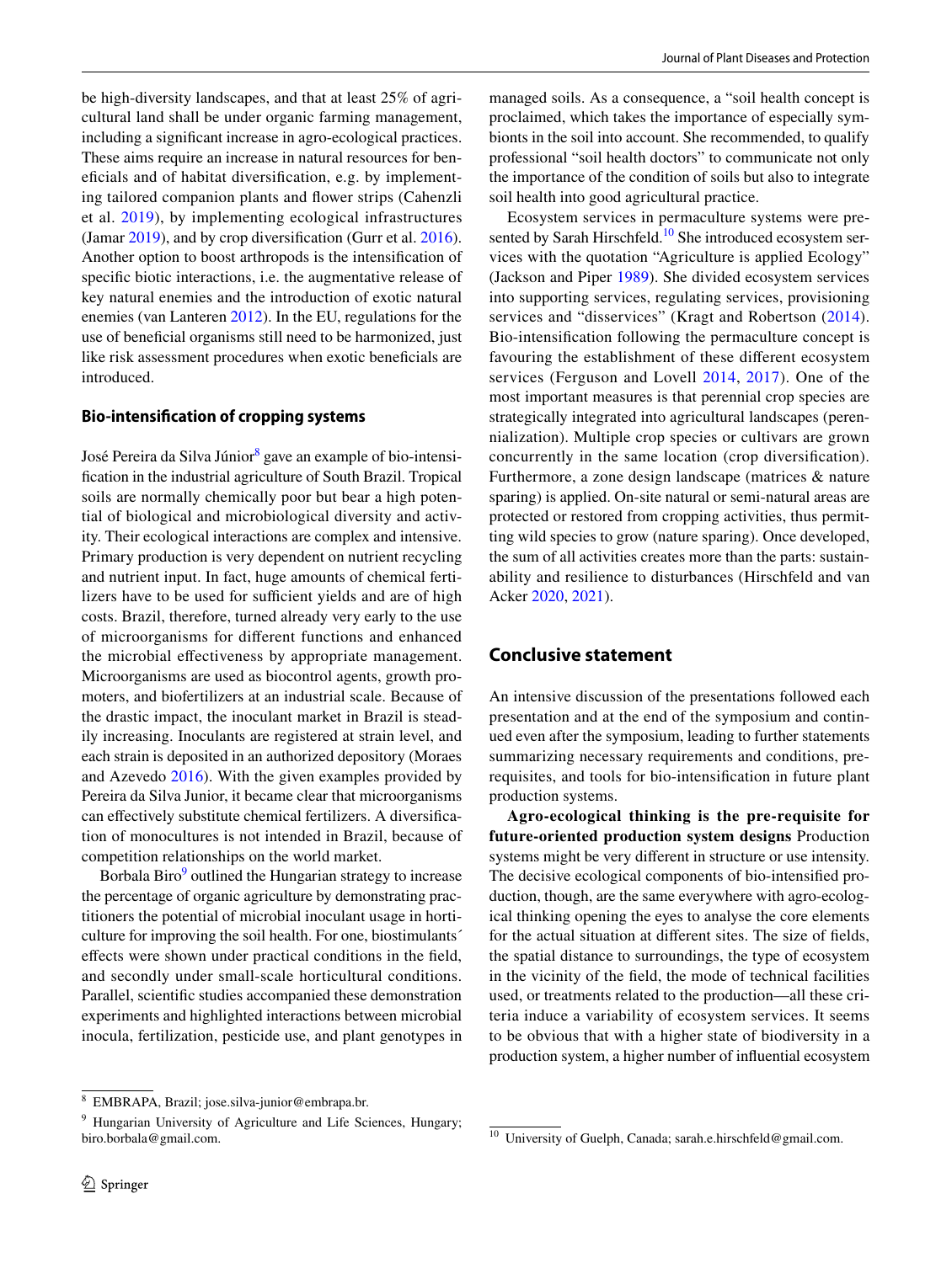be high-diversity landscapes, and that at least 25% of agricultural land shall be under organic farming management, including a signifcant increase in agro-ecological practices. These aims require an increase in natural resources for benefcials and of habitat diversifcation, e.g. by implementing tailored companion plants and fower strips (Cahenzli et al. [2019\)](#page-6-18), by implementing ecological infrastructures (Jamar [2019](#page-6-19)), and by crop diversifcation (Gurr et al. [2016](#page-6-20)). Another option to boost arthropods is the intensifcation of specifc biotic interactions, i.e. the augmentative release of key natural enemies and the introduction of exotic natural enemies (van Lanteren [2012\)](#page-7-7). In the EU, regulations for the use of benefcial organisms still need to be harmonized, just like risk assessment procedures when exotic benefcials are introduced.

## **Bio‑intensifcation of cropping systems**

José Pereira da Silva Júnior $^8$  gave an example of bio-intensifcation in the industrial agriculture of South Brazil. Tropical soils are normally chemically poor but bear a high potential of biological and microbiological diversity and activity. Their ecological interactions are complex and intensive. Primary production is very dependent on nutrient recycling and nutrient input. In fact, huge amounts of chemical fertilizers have to be used for sufficient yields and are of high costs. Brazil, therefore, turned already very early to the use of microorganisms for diferent functions and enhanced the microbial efectiveness by appropriate management. Microorganisms are used as biocontrol agents, growth promoters, and biofertilizers at an industrial scale. Because of the drastic impact, the inoculant market in Brazil is steadily increasing. Inoculants are registered at strain level, and each strain is deposited in an authorized depository (Moraes and Azevedo [2016](#page-7-8)). With the given examples provided by Pereira da Silva Junior, it became clear that microorganisms can efectively substitute chemical fertilizers. A diversifcation of monocultures is not intended in Brazil, because of competition relationships on the world market.

Borbala Biro<sup>[9](#page-4-1)</sup> outlined the Hungarian strategy to increase the percentage of organic agriculture by demonstrating practitioners the potential of microbial inoculant usage in horticulture for improving the soil health. For one, biostimulants´ efects were shown under practical conditions in the feld, and secondly under small-scale horticultural conditions. Parallel, scientifc studies accompanied these demonstration experiments and highlighted interactions between microbial inocula, fertilization, pesticide use, and plant genotypes in

managed soils. As a consequence, a "soil health concept is proclaimed, which takes the importance of especially symbionts in the soil into account. She recommended, to qualify professional "soil health doctors" to communicate not only the importance of the condition of soils but also to integrate soil health into good agricultural practice.

Ecosystem services in permaculture systems were presented by Sarah Hirschfeld.<sup>10</sup> She introduced ecosystem services with the quotation "Agriculture is applied Ecology" (Jackson and Piper [1989](#page-6-21)). She divided ecosystem services into supporting services, regulating services, provisioning services and "disservices" (Kragt and Robertson  $(2014)$  $(2014)$  $(2014)$ . Bio-intensifcation following the permaculture concept is favouring the establishment of these diferent ecosystem services (Ferguson and Lovell [2014,](#page-6-23) [2017](#page-6-24)). One of the most important measures is that perennial crop species are strategically integrated into agricultural landscapes (perennialization). Multiple crop species or cultivars are grown concurrently in the same location (crop diversifcation). Furthermore, a zone design landscape (matrices & nature sparing) is applied. On-site natural or semi-natural areas are protected or restored from cropping activities, thus permitting wild species to grow (nature sparing). Once developed, the sum of all activities creates more than the parts: sustainability and resilience to disturbances (Hirschfeld and van Acker [2020,](#page-6-25) [2021](#page-6-26)).

## **Conclusive statement**

An intensive discussion of the presentations followed each presentation and at the end of the symposium and continued even after the symposium, leading to further statements summarizing necessary requirements and conditions, prerequisites, and tools for bio-intensifcation in future plant production systems.

**Agro-ecological thinking is the pre-requisite for future-oriented production system designs** Production systems might be very diferent in structure or use intensity. The decisive ecological components of bio-intensifed production, though, are the same everywhere with agro-ecological thinking opening the eyes to analyse the core elements for the actual situation at diferent sites. The size of felds, the spatial distance to surroundings, the type of ecosystem in the vicinity of the feld, the mode of technical facilities used, or treatments related to the production—all these criteria induce a variability of ecosystem services. It seems to be obvious that with a higher state of biodiversity in a production system, a higher number of infuential ecosystem

<span id="page-4-0"></span><sup>8</sup> EMBRAPA, Brazil; jose.silva-junior@embrapa.br.

<span id="page-4-1"></span><sup>&</sup>lt;sup>9</sup> Hungarian University of Agriculture and Life Sciences, Hungary; biro.borbala@gmail.com. <sup>10</sup> University of Guelph, Canada; sarah.e.hirschfeld@gmail.com.

<span id="page-4-2"></span>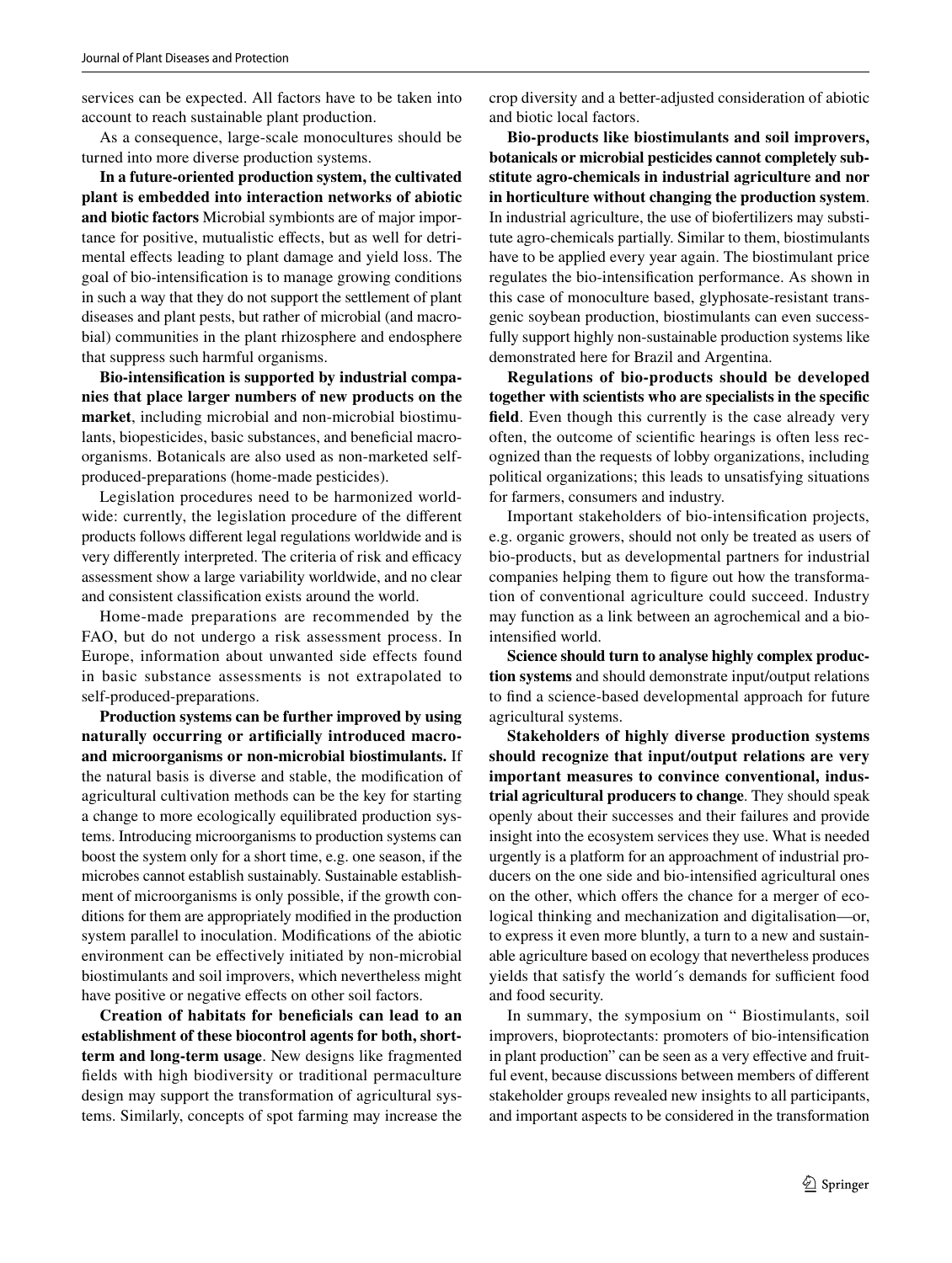services can be expected. All factors have to be taken into account to reach sustainable plant production.

As a consequence, large-scale monocultures should be turned into more diverse production systems.

**In a future-oriented production system, the cultivated plant is embedded into interaction networks of abiotic and biotic factors** Microbial symbionts are of major importance for positive, mutualistic efects, but as well for detrimental efects leading to plant damage and yield loss. The goal of bio-intensifcation is to manage growing conditions in such a way that they do not support the settlement of plant diseases and plant pests, but rather of microbial (and macrobial) communities in the plant rhizosphere and endosphere that suppress such harmful organisms.

**Bio-intensifcation is supported by industrial companies that place larger numbers of new products on the market**, including microbial and non-microbial biostimulants, biopesticides, basic substances, and benefcial macroorganisms. Botanicals are also used as non-marketed selfproduced-preparations (home-made pesticides).

Legislation procedures need to be harmonized worldwide: currently, the legislation procedure of the diferent products follows diferent legal regulations worldwide and is very differently interpreted. The criteria of risk and efficacy assessment show a large variability worldwide, and no clear and consistent classifcation exists around the world.

Home-made preparations are recommended by the FAO, but do not undergo a risk assessment process. In Europe, information about unwanted side effects found in basic substance assessments is not extrapolated to self-produced-preparations.

**Production systems can be further improved by using naturally occurring or artifcially introduced macroand microorganisms or non-microbial biostimulants.** If the natural basis is diverse and stable, the modifcation of agricultural cultivation methods can be the key for starting a change to more ecologically equilibrated production systems. Introducing microorganisms to production systems can boost the system only for a short time, e.g. one season, if the microbes cannot establish sustainably. Sustainable establishment of microorganisms is only possible, if the growth conditions for them are appropriately modifed in the production system parallel to inoculation. Modifcations of the abiotic environment can be efectively initiated by non-microbial biostimulants and soil improvers, which nevertheless might have positive or negative effects on other soil factors.

**Creation of habitats for benefcials can lead to an establishment of these biocontrol agents for both, shortterm and long-term usage**. New designs like fragmented felds with high biodiversity or traditional permaculture design may support the transformation of agricultural systems. Similarly, concepts of spot farming may increase the crop diversity and a better-adjusted consideration of abiotic and biotic local factors.

**Bio-products like biostimulants and soil improvers, botanicals or microbial pesticides cannot completely substitute agro-chemicals in industrial agriculture and nor in horticulture without changing the production system**. In industrial agriculture, the use of biofertilizers may substitute agro-chemicals partially. Similar to them, biostimulants have to be applied every year again. The biostimulant price regulates the bio-intensifcation performance. As shown in this case of monoculture based, glyphosate-resistant transgenic soybean production, biostimulants can even successfully support highly non-sustainable production systems like demonstrated here for Brazil and Argentina.

**Regulations of bio-products should be developed together with scientists who are specialists in the specifc feld**. Even though this currently is the case already very often, the outcome of scientifc hearings is often less recognized than the requests of lobby organizations, including political organizations; this leads to unsatisfying situations for farmers, consumers and industry.

Important stakeholders of bio-intensifcation projects, e.g. organic growers, should not only be treated as users of bio-products, but as developmental partners for industrial companies helping them to fgure out how the transformation of conventional agriculture could succeed. Industry may function as a link between an agrochemical and a biointensifed world.

**Science should turn to analyse highly complex production systems** and should demonstrate input/output relations to fnd a science-based developmental approach for future agricultural systems.

**Stakeholders of highly diverse production systems should recognize that input/output relations are very important measures to convince conventional, industrial agricultural producers to change**. They should speak openly about their successes and their failures and provide insight into the ecosystem services they use. What is needed urgently is a platform for an approachment of industrial producers on the one side and bio-intensifed agricultural ones on the other, which offers the chance for a merger of ecological thinking and mechanization and digitalisation—or, to express it even more bluntly, a turn to a new and sustainable agriculture based on ecology that nevertheless produces yields that satisfy the world's demands for sufficient food and food security.

In summary, the symposium on " Biostimulants, soil improvers, bioprotectants: promoters of bio-intensifcation in plant production" can be seen as a very efective and fruitful event, because discussions between members of diferent stakeholder groups revealed new insights to all participants, and important aspects to be considered in the transformation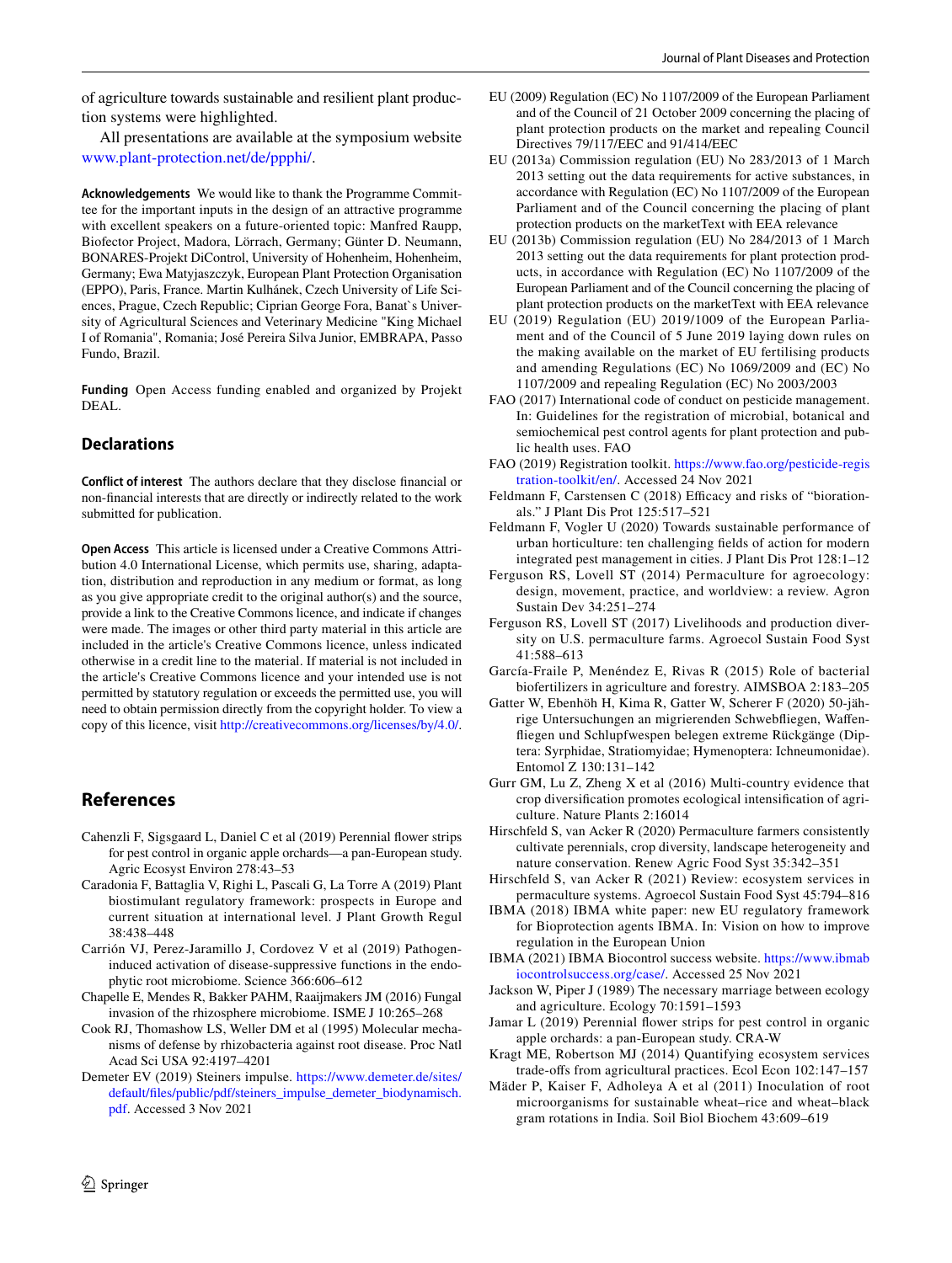of agriculture towards sustainable and resilient plant production systems were highlighted.

All presentations are available at the symposium website [www.plant-protection.net/de/ppphi/](http://www.plant-protection.net/de/ppphi/).

**Acknowledgements** We would like to thank the Programme Committee for the important inputs in the design of an attractive programme with excellent speakers on a future-oriented topic: Manfred Raupp, Biofector Project, Madora, Lörrach, Germany; Günter D. Neumann, BONARES-Projekt DiControl, University of Hohenheim, Hohenheim, Germany; Ewa Matyjaszczyk, European Plant Protection Organisation (EPPO), Paris, France. Martin Kulhánek, Czech University of Life Sciences, Prague, Czech Republic; Ciprian George Fora, Banat`s University of Agricultural Sciences and Veterinary Medicine "King Michael I of Romania", Romania; José Pereira Silva Junior, EMBRAPA, Passo Fundo, Brazil.

**Funding** Open Access funding enabled and organized by Projekt DEAL.

## **Declarations**

**Conflict of interest** The authors declare that they disclose fnancial or non-fnancial interests that are directly or indirectly related to the work submitted for publication.

**Open Access** This article is licensed under a Creative Commons Attribution 4.0 International License, which permits use, sharing, adaptation, distribution and reproduction in any medium or format, as long as you give appropriate credit to the original author(s) and the source, provide a link to the Creative Commons licence, and indicate if changes were made. The images or other third party material in this article are included in the article's Creative Commons licence, unless indicated otherwise in a credit line to the material. If material is not included in the article's Creative Commons licence and your intended use is not permitted by statutory regulation or exceeds the permitted use, you will need to obtain permission directly from the copyright holder. To view a copy of this licence, visit <http://creativecommons.org/licenses/by/4.0/>.

## **References**

- <span id="page-6-18"></span>Cahenzli F, Sigsgaard L, Daniel C et al (2019) Perennial fower strips for pest control in organic apple orchards—a pan-European study. Agric Ecosyst Environ 278:43–53
- <span id="page-6-8"></span>Caradonia F, Battaglia V, Righi L, Pascali G, La Torre A (2019) Plant biostimulant regulatory framework: prospects in Europe and current situation at international level. J Plant Growth Regul 38:438–448
- <span id="page-6-7"></span>Carrión VJ, Perez-Jaramillo J, Cordovez V et al (2019) Pathogeninduced activation of disease-suppressive functions in the endophytic root microbiome. Science 366:606–612
- <span id="page-6-6"></span>Chapelle E, Mendes R, Bakker PAHM, Raaijmakers JM (2016) Fungal invasion of the rhizosphere microbiome. ISME J 10:265–268
- <span id="page-6-5"></span>Cook RJ, Thomashow LS, Weller DM et al (1995) Molecular mechanisms of defense by rhizobacteria against root disease. Proc Natl Acad Sci USA 92:4197–4201
- <span id="page-6-16"></span>Demeter EV (2019) Steiners impulse. [https://www.demeter.de/sites/](https://www.demeter.de/sites/default/files/public/pdf/steiners_impulse_demeter_biodynamisch.pdf) [default/fles/public/pdf/steiners\\_impulse\\_demeter\\_biodynamisch.](https://www.demeter.de/sites/default/files/public/pdf/steiners_impulse_demeter_biodynamisch.pdf) [pdf](https://www.demeter.de/sites/default/files/public/pdf/steiners_impulse_demeter_biodynamisch.pdf). Accessed 3 Nov 2021
- <span id="page-6-11"></span>EU (2009) Regulation (EC) No 1107/2009 of the European Parliament and of the Council of 21 October 2009 concerning the placing of plant protection products on the market and repealing Council Directives 79/117/EEC and 91/414/EEC
- <span id="page-6-13"></span>EU (2013a) Commission regulation (EU) No 283/2013 of 1 March 2013 setting out the data requirements for active substances, in accordance with Regulation (EC) No 1107/2009 of the European Parliament and of the Council concerning the placing of plant protection products on the marketText with EEA relevance
- <span id="page-6-14"></span>EU (2013b) Commission regulation (EU) No 284/2013 of 1 March 2013 setting out the data requirements for plant protection products, in accordance with Regulation (EC) No 1107/2009 of the European Parliament and of the Council concerning the placing of plant protection products on the marketText with EEA relevance
- <span id="page-6-1"></span>EU (2019) Regulation (EU) 2019/1009 of the European Parliament and of the Council of 5 June 2019 laying down rules on the making available on the market of EU fertilising products and amending Regulations (EC) No 1069/2009 and (EC) No 1107/2009 and repealing Regulation (EC) No 2003/2003
- <span id="page-6-9"></span>FAO (2017) International code of conduct on pesticide management. In: Guidelines for the registration of microbial, botanical and semiochemical pest control agents for plant protection and public health uses. FAO
- <span id="page-6-10"></span>FAO (2019) Registration toolkit. [https://www.fao.org/pesticide-regis](https://www.fao.org/pesticide-registration-toolkit/en/) [tration-toolkit/en/](https://www.fao.org/pesticide-registration-toolkit/en/). Accessed 24 Nov 2021
- <span id="page-6-15"></span>Feldmann F, Carstensen C (2018) Efficacy and risks of "biorationals." J Plant Dis Prot 125:517–521
- <span id="page-6-0"></span>Feldmann F, Vogler U (2020) Towards sustainable performance of urban horticulture: ten challenging felds of action for modern integrated pest management in cities. J Plant Dis Prot 128:1–12
- <span id="page-6-23"></span>Ferguson RS, Lovell ST (2014) Permaculture for agroecology: design, movement, practice, and worldview: a review. Agron Sustain Dev 34:251–274
- <span id="page-6-24"></span>Ferguson RS, Lovell ST (2017) Livelihoods and production diversity on U.S. permaculture farms. Agroecol Sustain Food Syst 41:588–613
- <span id="page-6-3"></span>García-Fraile P, Menéndez E, Rivas R (2015) Role of bacterial biofertilizers in agriculture and forestry. AIMSBOA 2:183–205
- <span id="page-6-17"></span>Gatter W, Ebenhöh H, Kima R, Gatter W, Scherer F (2020) 50-jährige Untersuchungen an migrierenden Schwebfiegen, Wafenfiegen und Schlupfwespen belegen extreme Rückgänge (Diptera: Syrphidae, Stratiomyidae; Hymenoptera: Ichneumonidae). Entomol Z 130:131–142
- <span id="page-6-20"></span>Gurr GM, Lu Z, Zheng X et al (2016) Multi-country evidence that crop diversifcation promotes ecological intensifcation of agriculture. Nature Plants 2:16014
- <span id="page-6-25"></span>Hirschfeld S, van Acker R (2020) Permaculture farmers consistently cultivate perennials, crop diversity, landscape heterogeneity and nature conservation. Renew Agric Food Syst 35:342–351
- <span id="page-6-26"></span>Hirschfeld S, van Acker R (2021) Review: ecosystem services in permaculture systems. Agroecol Sustain Food Syst 45:794–816
- <span id="page-6-2"></span>IBMA (2018) IBMA white paper: new EU regulatory framework for Bioprotection agents IBMA. In: Vision on how to improve regulation in the European Union
- <span id="page-6-12"></span>IBMA (2021) IBMA Biocontrol success website. [https://www.ibmab](https://www.ibmabiocontrolsuccess.org/case/) [iocontrolsuccess.org/case/](https://www.ibmabiocontrolsuccess.org/case/). Accessed 25 Nov 2021
- <span id="page-6-21"></span>Jackson W, Piper J (1989) The necessary marriage between ecology and agriculture. Ecology 70:1591–1593
- <span id="page-6-19"></span>Jamar L (2019) Perennial fower strips for pest control in organic apple orchards: a pan-European study. CRA-W
- <span id="page-6-22"></span>Kragt ME, Robertson MJ (2014) Quantifying ecosystem services trade-ofs from agricultural practices. Ecol Econ 102:147–157
- <span id="page-6-4"></span>Mäder P, Kaiser F, Adholeya A et al (2011) Inoculation of root microorganisms for sustainable wheat–rice and wheat–black gram rotations in India. Soil Biol Biochem 43:609–619